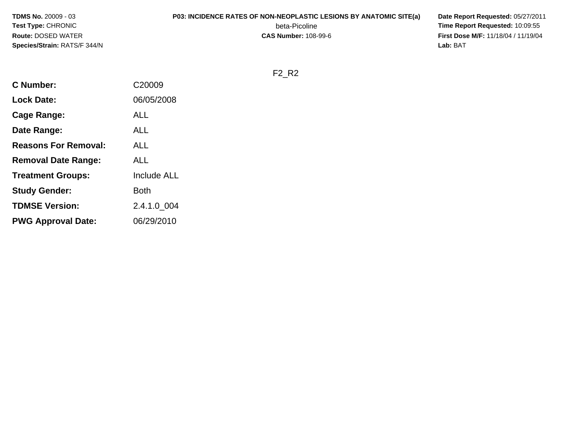**TDMS No.** 20009 - 03**Test Type:** CHRONIC**Route:** DOSED WATER**Species/Strain:** RATS/F 344/N

## **P03: INCIDENCE RATES OF NON-NEOPLASTIC LESIONS BY ANATOMIC SITE(a) Date Report Requested:** 05/27/2011

beta-Picoline<br>CAS Number: 108-99-6

 **Time Report Requested:** 10:09:55 **First Dose M/F:** 11/18/04 / 11/19/04<br>Lab: BAT **Lab:** BAT

F2\_R2

| <b>C</b> Number:            | C20009      |
|-----------------------------|-------------|
| <b>Lock Date:</b>           | 06/05/2008  |
| <b>Cage Range:</b>          | <b>ALL</b>  |
| Date Range:                 | <b>ALL</b>  |
| <b>Reasons For Removal:</b> | <b>ALL</b>  |
| <b>Removal Date Range:</b>  | <b>ALL</b>  |
| <b>Treatment Groups:</b>    | Include ALL |
| <b>Study Gender:</b>        | Both        |
| <b>TDMSE Version:</b>       | 2.4.1.0 004 |
| <b>PWG Approval Date:</b>   | 06/29/2010  |
|                             |             |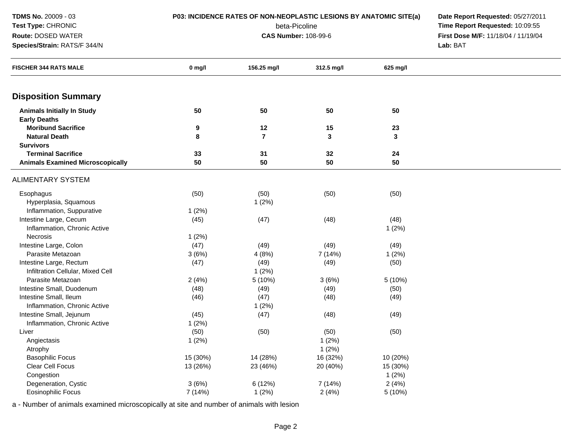| TDMS No. 20009 - 03                                      | P03: INCIDENCE RATES OF NON-NEOPLASTIC LESIONS BY ANATOMIC SITE(a) | Date Report Requested: 05/27/2011 |                                     |          |          |
|----------------------------------------------------------|--------------------------------------------------------------------|-----------------------------------|-------------------------------------|----------|----------|
| <b>Test Type: CHRONIC</b>                                |                                                                    | Time Report Requested: 10:09:55   |                                     |          |          |
| Route: DOSED WATER                                       |                                                                    | <b>CAS Number: 108-99-6</b>       | First Dose M/F: 11/18/04 / 11/19/04 |          |          |
| Species/Strain: RATS/F 344/N                             |                                                                    |                                   |                                     |          | Lab: BAT |
| <b>FISCHER 344 RATS MALE</b>                             | $0$ mg/l                                                           | 156.25 mg/l                       | 312.5 mg/l                          | 625 mg/l |          |
| <b>Disposition Summary</b>                               |                                                                    |                                   |                                     |          |          |
| <b>Animals Initially In Study</b><br><b>Early Deaths</b> | 50                                                                 | 50                                | 50                                  | 50       |          |
| <b>Moribund Sacrifice</b>                                | 9                                                                  | 12                                | 15                                  | 23       |          |
| <b>Natural Death</b>                                     | 8                                                                  | $\overline{\mathbf{r}}$           | 3                                   | 3        |          |
| <b>Survivors</b>                                         |                                                                    |                                   |                                     |          |          |
| <b>Terminal Sacrifice</b>                                | 33                                                                 | 31                                | 32                                  | 24       |          |
| <b>Animals Examined Microscopically</b>                  | 50                                                                 | 50                                | 50                                  | 50       |          |
| <b>ALIMENTARY SYSTEM</b>                                 |                                                                    |                                   |                                     |          |          |
| Esophagus                                                | (50)                                                               | (50)                              | (50)                                | (50)     |          |
| Hyperplasia, Squamous                                    |                                                                    | 1(2%)                             |                                     |          |          |
| Inflammation, Suppurative                                | 1(2%)                                                              |                                   |                                     |          |          |
| Intestine Large, Cecum                                   | (45)                                                               | (47)                              | (48)                                | (48)     |          |
| Inflammation, Chronic Active                             |                                                                    |                                   |                                     | 1(2%)    |          |
| Necrosis                                                 | 1(2%)                                                              |                                   |                                     |          |          |
| Intestine Large, Colon                                   | (47)                                                               | (49)                              | (49)                                | (49)     |          |
| Parasite Metazoan                                        | 3(6%)                                                              | 4(8%)                             | 7 (14%)                             | 1(2%)    |          |
| Intestine Large, Rectum                                  | (47)                                                               | (49)                              | (49)                                | (50)     |          |
| Infiltration Cellular, Mixed Cell                        |                                                                    | 1(2%)                             |                                     |          |          |
| Parasite Metazoan                                        | 2(4%)                                                              | 5 (10%)                           | 3(6%)                               | 5 (10%)  |          |
| Intestine Small, Duodenum                                | (48)                                                               | (49)                              | (49)                                | (50)     |          |
| Intestine Small, Ileum                                   | (46)                                                               | (47)                              | (48)                                | (49)     |          |
| Inflammation, Chronic Active                             |                                                                    | 1(2%)                             |                                     |          |          |
| Intestine Small, Jejunum                                 | (45)                                                               | (47)                              | (48)                                | (49)     |          |
| Inflammation, Chronic Active                             | 1(2%)                                                              |                                   |                                     |          |          |
| Liver                                                    | (50)                                                               | (50)                              | (50)                                | (50)     |          |
| Angiectasis                                              | 1(2%)                                                              |                                   | 1(2%)                               |          |          |
| Atrophy                                                  |                                                                    |                                   | 1(2%)                               |          |          |
| <b>Basophilic Focus</b>                                  | 15 (30%)                                                           | 14 (28%)                          | 16 (32%)                            | 10 (20%) |          |
| Clear Cell Focus                                         | 13 (26%)                                                           | 23 (46%)                          | 20 (40%)                            | 15 (30%) |          |
| Congestion                                               |                                                                    |                                   |                                     | 1(2%)    |          |
| Degeneration, Cystic                                     | 3(6%)                                                              | 6(12%)                            | 7 (14%)                             | 2(4%)    |          |
| Eosinophilic Focus                                       | 7 (14%)                                                            | 1(2%)                             | 2(4%)                               | 5(10%)   |          |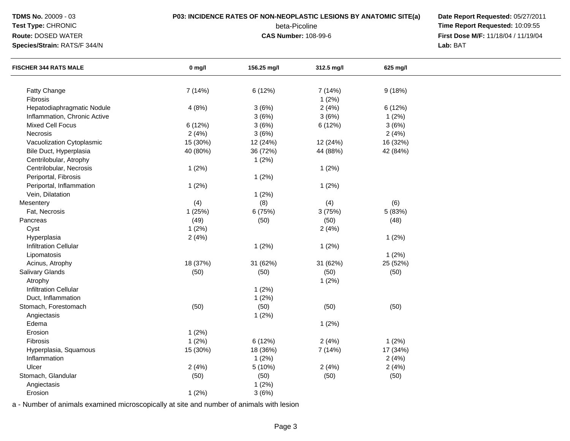| <b>TDMS No. 20009 - 03</b> |  |
|----------------------------|--|
|                            |  |

## **Test Type:** CHRONIC

**Route:** DOSED WATER

**Species/Strain:** RATS/F 344/N

## **P03: INCIDENCE RATES OF NON-NEOPLASTIC LESIONS BY ANATOMIC SITE(a) Date Report Requested:** 05/27/2011

beta-Picoline<br>CAS Number: 108-99-6

 **Time Report Requested:** 10:09:55 **First Dose M/F:** 11/18/04 / 11/19/04<br>Lab: BAT **Lab:** BAT

| <b>FISCHER 344 RATS MALE</b> | $0$ mg/l | 156.25 mg/l | 312.5 mg/l | 625 mg/l |  |
|------------------------------|----------|-------------|------------|----------|--|
|                              |          |             |            |          |  |
| <b>Fatty Change</b>          | 7 (14%)  | 6 (12%)     | 7 (14%)    | 9(18%)   |  |
| Fibrosis                     |          |             | 1(2%)      |          |  |
| Hepatodiaphragmatic Nodule   | 4(8%)    | 3(6%)       | 2(4%)      | 6 (12%)  |  |
| Inflammation, Chronic Active |          | 3(6%)       | 3(6%)      | 1(2%)    |  |
| Mixed Cell Focus             | 6 (12%)  | 3(6%)       | 6 (12%)    | 3(6%)    |  |
| Necrosis                     | 2(4%)    | 3(6%)       |            | 2(4%)    |  |
| Vacuolization Cytoplasmic    | 15 (30%) | 12 (24%)    | 12 (24%)   | 16 (32%) |  |
| Bile Duct, Hyperplasia       | 40 (80%) | 36 (72%)    | 44 (88%)   | 42 (84%) |  |
| Centrilobular, Atrophy       |          | 1(2%)       |            |          |  |
| Centrilobular, Necrosis      | 1(2%)    |             | 1(2%)      |          |  |
| Periportal, Fibrosis         |          | 1(2%)       |            |          |  |
| Periportal, Inflammation     | 1(2%)    |             | 1(2%)      |          |  |
| Vein, Dilatation             |          | 1(2%)       |            |          |  |
| Mesentery                    | (4)      | (8)         | (4)        | (6)      |  |
| Fat, Necrosis                | 1 (25%)  | 6 (75%)     | 3(75%)     | 5 (83%)  |  |
| Pancreas                     | (49)     | (50)        | (50)       | (48)     |  |
| Cyst                         | 1(2%)    |             | 2(4%)      |          |  |
| Hyperplasia                  | 2(4%)    |             |            | 1(2%)    |  |
| <b>Infiltration Cellular</b> |          | 1(2%)       | 1(2%)      |          |  |
| Lipomatosis                  |          |             |            | $1(2\%)$ |  |
| Acinus, Atrophy              | 18 (37%) | 31 (62%)    | 31 (62%)   | 25 (52%) |  |
| Salivary Glands              | (50)     | (50)        | (50)       | (50)     |  |
| Atrophy                      |          |             | 1(2%)      |          |  |
| <b>Infiltration Cellular</b> |          | 1(2%)       |            |          |  |
| Duct, Inflammation           |          | 1(2%)       |            |          |  |
| Stomach, Forestomach         | (50)     | (50)        | (50)       | (50)     |  |
| Angiectasis                  |          | 1(2%)       |            |          |  |
| Edema                        |          |             | 1(2%)      |          |  |
| Erosion                      | 1(2%)    |             |            |          |  |
| Fibrosis                     | 1(2%)    | 6 (12%)     | 2(4%)      | 1(2%)    |  |
| Hyperplasia, Squamous        | 15 (30%) | 18 (36%)    | 7 (14%)    | 17 (34%) |  |
| Inflammation                 |          | 1(2%)       |            | 2(4%)    |  |
| Ulcer                        | 2(4%)    | 5 (10%)     | 2(4%)      | 2(4%)    |  |
| Stomach, Glandular           | (50)     | (50)        | (50)       | (50)     |  |
| Angiectasis                  |          | 1(2%)       |            |          |  |
| Erosion                      | 1(2%)    | 3(6%)       |            |          |  |
|                              |          |             |            |          |  |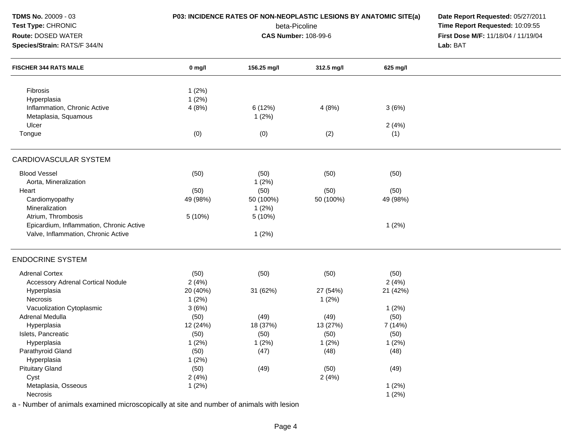| TDMS No. 20009 - 03<br>P03: INCIDENCE RATES OF NON-NEOPLASTIC LESIONS BY ANATOMIC SITE(a) |          |                             |                                     | Date Report Requested: 05/27/2011 |  |
|-------------------------------------------------------------------------------------------|----------|-----------------------------|-------------------------------------|-----------------------------------|--|
| Test Type: CHRONIC                                                                        |          | beta-Picoline               | Time Report Requested: 10:09:55     |                                   |  |
| Route: DOSED WATER                                                                        |          | <b>CAS Number: 108-99-6</b> | First Dose M/F: 11/18/04 / 11/19/04 |                                   |  |
| Species/Strain: RATS/F 344/N                                                              |          |                             |                                     | Lab: BAT                          |  |
| <b>FISCHER 344 RATS MALE</b>                                                              | 0 mg/l   | 156.25 mg/l                 | 312.5 mg/l                          | 625 mg/l                          |  |
| Fibrosis                                                                                  | 1(2%)    |                             |                                     |                                   |  |
| Hyperplasia                                                                               | 1(2%)    |                             |                                     |                                   |  |
| Inflammation, Chronic Active                                                              | 4(8%)    | 6 (12%)                     | 4(8%)                               | 3(6%)                             |  |
| Metaplasia, Squamous                                                                      |          | 1(2%)                       |                                     |                                   |  |
| Ulcer                                                                                     |          |                             |                                     | 2(4%)                             |  |
| Tongue                                                                                    | (0)      | (0)                         | (2)                                 | (1)                               |  |
| CARDIOVASCULAR SYSTEM                                                                     |          |                             |                                     |                                   |  |
| <b>Blood Vessel</b>                                                                       | (50)     | (50)                        | (50)                                | (50)                              |  |
| Aorta, Mineralization                                                                     |          | 1(2%)                       |                                     |                                   |  |
| Heart                                                                                     | (50)     | (50)                        | (50)                                | (50)                              |  |
| Cardiomyopathy                                                                            | 49 (98%) | 50 (100%)                   | 50 (100%)                           | 49 (98%)                          |  |
| Mineralization                                                                            |          | 1(2%)                       |                                     |                                   |  |
| Atrium, Thrombosis                                                                        | 5 (10%)  | 5 (10%)                     |                                     |                                   |  |
| Epicardium, Inflammation, Chronic Active                                                  |          |                             |                                     | 1(2%)                             |  |
| Valve, Inflammation, Chronic Active                                                       |          | 1(2%)                       |                                     |                                   |  |
| <b>ENDOCRINE SYSTEM</b>                                                                   |          |                             |                                     |                                   |  |
| <b>Adrenal Cortex</b>                                                                     | (50)     | (50)                        | (50)                                | (50)                              |  |
| <b>Accessory Adrenal Cortical Nodule</b>                                                  | 2(4%)    |                             |                                     | 2(4%)                             |  |
| Hyperplasia                                                                               | 20 (40%) | 31 (62%)                    | 27 (54%)                            | 21 (42%)                          |  |
| Necrosis                                                                                  | 1(2%)    |                             | 1(2%)                               |                                   |  |
| Vacuolization Cytoplasmic                                                                 | 3(6%)    |                             |                                     | 1(2%)                             |  |
| Adrenal Medulla                                                                           | (50)     | (49)                        | (49)                                | (50)                              |  |
| Hyperplasia                                                                               | 12 (24%) | 18 (37%)                    | 13 (27%)                            | 7 (14%)                           |  |
| Islets, Pancreatic                                                                        | (50)     | (50)                        | (50)                                | (50)                              |  |
| Hyperplasia                                                                               | 1(2%)    | 1(2%)                       | 1(2%)                               | 1(2%)                             |  |
| Parathyroid Gland                                                                         | (50)     | (47)                        | (48)                                | (48)                              |  |
| Hyperplasia                                                                               | 1(2%)    |                             |                                     |                                   |  |
| <b>Pituitary Gland</b>                                                                    | (50)     | (49)                        | (50)                                | (49)                              |  |
| Cyst                                                                                      | 2(4%)    |                             | 2(4%)                               |                                   |  |
| Metaplasia, Osseous                                                                       | 1(2%)    |                             |                                     | 1(2%)                             |  |
| Necrosis                                                                                  |          |                             |                                     | 1(2%)                             |  |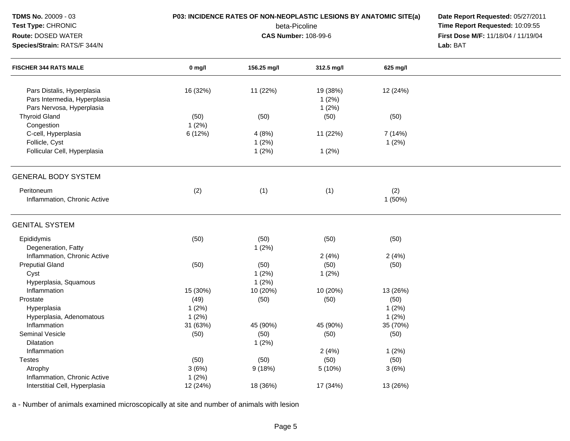| TDMS No. 20009 - 03<br>Test Type: CHRONIC<br>Route: DOSED WATER<br>Species/Strain: RATS/F 344/N | P03: INCIDENCE RATES OF NON-NEOPLASTIC LESIONS BY ANATOMIC SITE(a) | Date Report Requested: 05/27/2011<br>Time Report Requested: 10:09:55<br>First Dose M/F: 11/18/04 / 11/19/04<br>Lab: BAT |                            |                           |  |
|-------------------------------------------------------------------------------------------------|--------------------------------------------------------------------|-------------------------------------------------------------------------------------------------------------------------|----------------------------|---------------------------|--|
| <b>FISCHER 344 RATS MALE</b>                                                                    | $0$ mg/l                                                           | 156.25 mg/l                                                                                                             | 312.5 mg/l                 | 625 mg/l                  |  |
| Pars Distalis, Hyperplasia<br>Pars Intermedia, Hyperplasia<br>Pars Nervosa, Hyperplasia         | 16 (32%)                                                           | 11 (22%)                                                                                                                | 19 (38%)<br>1(2%)<br>1(2%) | 12 (24%)                  |  |
| <b>Thyroid Gland</b><br>Congestion                                                              | (50)<br>1(2%)                                                      | (50)                                                                                                                    | (50)                       | (50)                      |  |
| C-cell, Hyperplasia<br>Follicle, Cyst                                                           | 6(12%)                                                             | 4(8%)<br>1(2%)                                                                                                          | 11 (22%)                   | 7 (14%)<br>1(2%)          |  |
| Follicular Cell, Hyperplasia                                                                    |                                                                    | 1(2%)                                                                                                                   | 1(2%)                      |                           |  |
| <b>GENERAL BODY SYSTEM</b>                                                                      |                                                                    |                                                                                                                         |                            |                           |  |
| Peritoneum<br>Inflammation, Chronic Active                                                      | (2)                                                                | (1)                                                                                                                     | (1)                        | (2)<br>1 (50%)            |  |
| <b>GENITAL SYSTEM</b>                                                                           |                                                                    |                                                                                                                         |                            |                           |  |
| Epididymis<br>Degeneration, Fatty                                                               | (50)                                                               | (50)<br>1(2%)                                                                                                           | (50)                       | (50)                      |  |
| Inflammation, Chronic Active<br><b>Preputial Gland</b><br>Cyst<br>Hyperplasia, Squamous         | (50)                                                               | (50)<br>1(2%)<br>1(2%)                                                                                                  | 2(4%)<br>(50)<br>1(2%)     | 2(4%)<br>(50)             |  |
| Inflammation<br>Prostate<br>Hyperplasia                                                         | 15 (30%)<br>(49)<br>1(2%)                                          | 10 (20%)<br>(50)                                                                                                        | 10 (20%)<br>(50)           | 13 (26%)<br>(50)<br>1(2%) |  |
| Hyperplasia, Adenomatous<br>Inflammation                                                        | 1(2%)<br>31 (63%)                                                  | 45 (90%)                                                                                                                | 45 (90%)                   | 1(2%)<br>35 (70%)         |  |
| Seminal Vesicle<br>Dilatation<br>Inflammation                                                   | (50)                                                               | (50)<br>1(2%)                                                                                                           | (50)<br>2(4%)              | (50)<br>1(2%)             |  |
| <b>Testes</b><br>Atrophy                                                                        | (50)<br>3(6%)                                                      | (50)<br>9(18%)                                                                                                          | (50)<br>5 (10%)            | (50)<br>3(6%)             |  |
| Inflammation, Chronic Active<br>Interstitial Cell, Hyperplasia                                  | 1(2%)<br>12 (24%)                                                  | 18 (36%)                                                                                                                | 17 (34%)                   | 13 (26%)                  |  |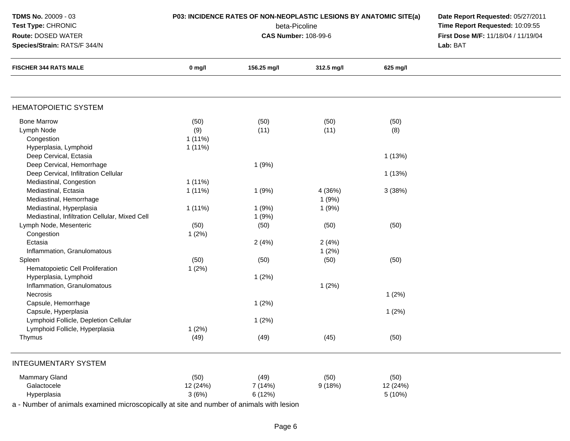| <b>TDMS No. 20009 - 03</b><br><b>Test Type: CHRONIC</b><br>Route: DOSED WATER<br>Species/Strain: RATS/F 344/N | P03: INCIDENCE RATES OF NON-NEOPLASTIC LESIONS BY ANATOMIC SITE(a) | Date Report Requested: 05/27/2011<br>Time Report Requested: 10:09:55<br>First Dose M/F: 11/18/04 / 11/19/04<br>Lab: BAT |            |          |  |
|---------------------------------------------------------------------------------------------------------------|--------------------------------------------------------------------|-------------------------------------------------------------------------------------------------------------------------|------------|----------|--|
| <b>FISCHER 344 RATS MALE</b>                                                                                  | $0$ mg/l                                                           | 156.25 mg/l                                                                                                             | 312.5 mg/l | 625 mg/l |  |
| <b>HEMATOPOIETIC SYSTEM</b>                                                                                   |                                                                    |                                                                                                                         |            |          |  |
| <b>Bone Marrow</b>                                                                                            | (50)                                                               | (50)                                                                                                                    | (50)       | (50)     |  |
| Lymph Node                                                                                                    | (9)                                                                | (11)                                                                                                                    | (11)       | (8)      |  |
| Congestion                                                                                                    | $1(11\%)$                                                          |                                                                                                                         |            |          |  |
| Hyperplasia, Lymphoid                                                                                         | $1(11\%)$                                                          |                                                                                                                         |            |          |  |
| Deep Cervical, Ectasia                                                                                        |                                                                    |                                                                                                                         |            | 1(13%)   |  |
| Deep Cervical, Hemorrhage                                                                                     |                                                                    | 1(9%)                                                                                                                   |            |          |  |
| Deep Cervical, Infiltration Cellular                                                                          |                                                                    |                                                                                                                         |            | 1(13%)   |  |
| Mediastinal, Congestion                                                                                       | $1(11\%)$                                                          |                                                                                                                         |            |          |  |
| Mediastinal, Ectasia                                                                                          | $1(11\%)$                                                          | 1(9%)                                                                                                                   | 4 (36%)    | 3(38%)   |  |
| Mediastinal, Hemorrhage                                                                                       |                                                                    |                                                                                                                         | 1(9%)      |          |  |
| Mediastinal, Hyperplasia                                                                                      | $1(11\%)$                                                          | 1(9%)                                                                                                                   | 1(9%)      |          |  |
| Mediastinal, Infiltration Cellular, Mixed Cell                                                                |                                                                    | 1(9%)                                                                                                                   |            |          |  |
| Lymph Node, Mesenteric                                                                                        | (50)                                                               | (50)                                                                                                                    | (50)       | (50)     |  |
| Congestion                                                                                                    | 1(2%)                                                              |                                                                                                                         |            |          |  |
| Ectasia                                                                                                       |                                                                    | 2(4%)                                                                                                                   | 2(4%)      |          |  |
| Inflammation, Granulomatous                                                                                   |                                                                    |                                                                                                                         | 1(2%)      |          |  |
| Spleen                                                                                                        | (50)                                                               | (50)                                                                                                                    | (50)       | (50)     |  |
| Hematopoietic Cell Proliferation                                                                              | 1(2%)                                                              |                                                                                                                         |            |          |  |
| Hyperplasia, Lymphoid                                                                                         |                                                                    | 1(2%)                                                                                                                   |            |          |  |
| Inflammation, Granulomatous                                                                                   |                                                                    |                                                                                                                         | 1(2%)      |          |  |
| Necrosis                                                                                                      |                                                                    |                                                                                                                         |            | 1(2%)    |  |
| Capsule, Hemorrhage                                                                                           |                                                                    | 1(2%)                                                                                                                   |            |          |  |
| Capsule, Hyperplasia                                                                                          |                                                                    |                                                                                                                         |            | 1(2%)    |  |
| Lymphoid Follicle, Depletion Cellular                                                                         |                                                                    | 1(2%)                                                                                                                   |            |          |  |
| Lymphoid Follicle, Hyperplasia                                                                                | 1(2%)                                                              |                                                                                                                         |            |          |  |
| Thymus                                                                                                        | (49)                                                               | (49)                                                                                                                    | (45)       | (50)     |  |
| <b>INTEGUMENTARY SYSTEM</b>                                                                                   |                                                                    |                                                                                                                         |            |          |  |
| <b>Mammary Gland</b>                                                                                          | (50)                                                               | (49)                                                                                                                    | (50)       | (50)     |  |
| Galactocele                                                                                                   | 12 (24%)                                                           | 7 (14%)                                                                                                                 | 9(18%)     | 12 (24%) |  |
| Hyperplasia                                                                                                   | 3(6%)                                                              | 6 (12%)                                                                                                                 |            | 5 (10%)  |  |
| a - Number of animals examined microscopically at site and number of animals with lesion                      |                                                                    |                                                                                                                         |            |          |  |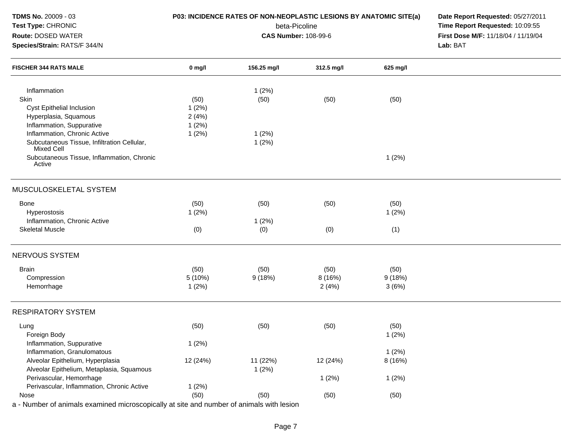| TDMS No. 20009 - 03<br>Test Type: CHRONIC<br>Route: DOSED WATER<br>Species/Strain: RATS/F 344/N |          | P03: INCIDENCE RATES OF NON-NEOPLASTIC LESIONS BY ANATOMIC SITE(a)<br>beta-Picoline<br><b>CAS Number: 108-99-6</b> | Date Report Requested: 05/27/2011<br>Time Report Requested: 10:09:55<br>First Dose M/F: 11/18/04 / 11/19/04<br>Lab: BAT |          |  |
|-------------------------------------------------------------------------------------------------|----------|--------------------------------------------------------------------------------------------------------------------|-------------------------------------------------------------------------------------------------------------------------|----------|--|
| <b>FISCHER 344 RATS MALE</b>                                                                    | $0$ mg/l | 156.25 mg/l                                                                                                        | 312.5 mg/l                                                                                                              | 625 mg/l |  |
| Inflammation                                                                                    |          | 1(2%)                                                                                                              |                                                                                                                         |          |  |
| Skin                                                                                            | (50)     | (50)                                                                                                               | (50)                                                                                                                    | (50)     |  |
| Cyst Epithelial Inclusion                                                                       | 1(2%)    |                                                                                                                    |                                                                                                                         |          |  |
| Hyperplasia, Squamous                                                                           | 2(4%)    |                                                                                                                    |                                                                                                                         |          |  |
| Inflammation, Suppurative                                                                       | 1(2%)    |                                                                                                                    |                                                                                                                         |          |  |
| Inflammation, Chronic Active                                                                    | 1(2%)    | 1(2%)                                                                                                              |                                                                                                                         |          |  |
| Subcutaneous Tissue, Infiltration Cellular,<br>Mixed Cell                                       |          | 1(2%)                                                                                                              |                                                                                                                         |          |  |
| Subcutaneous Tissue, Inflammation, Chronic<br>Active                                            |          |                                                                                                                    |                                                                                                                         | 1(2%)    |  |
| MUSCULOSKELETAL SYSTEM                                                                          |          |                                                                                                                    |                                                                                                                         |          |  |
| Bone                                                                                            | (50)     | (50)                                                                                                               | (50)                                                                                                                    | (50)     |  |
| Hyperostosis                                                                                    | 1(2%)    |                                                                                                                    |                                                                                                                         | 1(2%)    |  |
| Inflammation, Chronic Active                                                                    |          | 1(2%)                                                                                                              |                                                                                                                         |          |  |
| <b>Skeletal Muscle</b>                                                                          | (0)      | (0)                                                                                                                | (0)                                                                                                                     | (1)      |  |
| NERVOUS SYSTEM                                                                                  |          |                                                                                                                    |                                                                                                                         |          |  |
| <b>Brain</b>                                                                                    | (50)     | (50)                                                                                                               | (50)                                                                                                                    | (50)     |  |
| Compression                                                                                     | 5 (10%)  | 9(18%)                                                                                                             | 8 (16%)                                                                                                                 | 9(18%)   |  |
| Hemorrhage                                                                                      | 1(2%)    |                                                                                                                    | 2(4%)                                                                                                                   | 3(6%)    |  |
| <b>RESPIRATORY SYSTEM</b>                                                                       |          |                                                                                                                    |                                                                                                                         |          |  |
| Lung                                                                                            | (50)     | (50)                                                                                                               | (50)                                                                                                                    | (50)     |  |
| Foreign Body                                                                                    |          |                                                                                                                    |                                                                                                                         | 1(2%)    |  |
| Inflammation, Suppurative                                                                       | 1(2%)    |                                                                                                                    |                                                                                                                         |          |  |
| Inflammation, Granulomatous                                                                     |          |                                                                                                                    |                                                                                                                         | 1(2%)    |  |
| Alveolar Epithelium, Hyperplasia                                                                | 12 (24%) | 11 (22%)                                                                                                           | 12 (24%)                                                                                                                | 8 (16%)  |  |
| Alveolar Epithelium, Metaplasia, Squamous                                                       |          | 1(2%)                                                                                                              |                                                                                                                         |          |  |
| Perivascular, Hemorrhage                                                                        |          |                                                                                                                    | 1(2%)                                                                                                                   | 1(2%)    |  |
| Perivascular, Inflammation, Chronic Active                                                      | 1(2%)    |                                                                                                                    |                                                                                                                         |          |  |
| Nose                                                                                            | (50)     | (50)                                                                                                               | (50)                                                                                                                    | (50)     |  |
| a - Number of animals examined microscopically at site and number of animals with lesion        |          |                                                                                                                    |                                                                                                                         |          |  |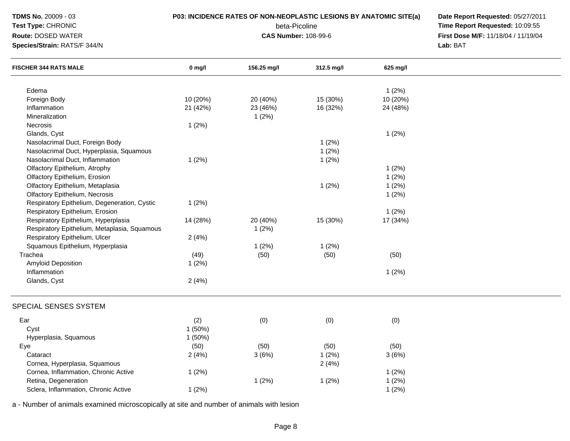| $0$ mg/l<br>156.25 mg/l<br>312.5 mg/l<br>625 mg/l<br><b>FISCHER 344 RATS MALE</b><br>1(2%)<br>Edema<br>Foreign Body<br>10 (20%)<br>15 (30%)<br>10 (20%)<br>20 (40%)<br>Inflammation<br>21 (42%)<br>23 (46%)<br>16 (32%)<br>24 (48%)<br>1(2%)<br>Mineralization<br>1(2%)<br>Necrosis<br>1(2%)<br>Glands, Cyst<br>1(2%)<br>Nasolacrimal Duct, Foreign Body<br>Nasolacrimal Duct, Hyperplasia, Squamous<br>1(2%)<br>Nasolacrimal Duct, Inflammation<br>1(2%)<br>1(2%)<br>1(2%)<br>Olfactory Epithelium, Atrophy<br>1(2%)<br>Olfactory Epithelium, Erosion<br>1(2%)<br>Olfactory Epithelium, Metaplasia<br>1(2%)<br>Olfactory Epithelium, Necrosis<br>1(2%)<br>1(2%)<br>Respiratory Epithelium, Degeneration, Cystic<br>Respiratory Epithelium, Erosion<br>1(2%)<br>Respiratory Epithelium, Hyperplasia<br>14 (28%)<br>15 (30%)<br>20 (40%)<br>17 (34%)<br>Respiratory Epithelium, Metaplasia, Squamous<br>1(2%)<br>Respiratory Epithelium, Ulcer<br>2(4%)<br>1(2%)<br>Squamous Epithelium, Hyperplasia<br>1(2%)<br>Trachea<br>(49)<br>(50)<br>(50)<br>(50) |  |
|---------------------------------------------------------------------------------------------------------------------------------------------------------------------------------------------------------------------------------------------------------------------------------------------------------------------------------------------------------------------------------------------------------------------------------------------------------------------------------------------------------------------------------------------------------------------------------------------------------------------------------------------------------------------------------------------------------------------------------------------------------------------------------------------------------------------------------------------------------------------------------------------------------------------------------------------------------------------------------------------------------------------------------------------------------|--|
|                                                                                                                                                                                                                                                                                                                                                                                                                                                                                                                                                                                                                                                                                                                                                                                                                                                                                                                                                                                                                                                         |  |
|                                                                                                                                                                                                                                                                                                                                                                                                                                                                                                                                                                                                                                                                                                                                                                                                                                                                                                                                                                                                                                                         |  |
|                                                                                                                                                                                                                                                                                                                                                                                                                                                                                                                                                                                                                                                                                                                                                                                                                                                                                                                                                                                                                                                         |  |
|                                                                                                                                                                                                                                                                                                                                                                                                                                                                                                                                                                                                                                                                                                                                                                                                                                                                                                                                                                                                                                                         |  |
|                                                                                                                                                                                                                                                                                                                                                                                                                                                                                                                                                                                                                                                                                                                                                                                                                                                                                                                                                                                                                                                         |  |
|                                                                                                                                                                                                                                                                                                                                                                                                                                                                                                                                                                                                                                                                                                                                                                                                                                                                                                                                                                                                                                                         |  |
|                                                                                                                                                                                                                                                                                                                                                                                                                                                                                                                                                                                                                                                                                                                                                                                                                                                                                                                                                                                                                                                         |  |
|                                                                                                                                                                                                                                                                                                                                                                                                                                                                                                                                                                                                                                                                                                                                                                                                                                                                                                                                                                                                                                                         |  |
|                                                                                                                                                                                                                                                                                                                                                                                                                                                                                                                                                                                                                                                                                                                                                                                                                                                                                                                                                                                                                                                         |  |
|                                                                                                                                                                                                                                                                                                                                                                                                                                                                                                                                                                                                                                                                                                                                                                                                                                                                                                                                                                                                                                                         |  |
|                                                                                                                                                                                                                                                                                                                                                                                                                                                                                                                                                                                                                                                                                                                                                                                                                                                                                                                                                                                                                                                         |  |
|                                                                                                                                                                                                                                                                                                                                                                                                                                                                                                                                                                                                                                                                                                                                                                                                                                                                                                                                                                                                                                                         |  |
|                                                                                                                                                                                                                                                                                                                                                                                                                                                                                                                                                                                                                                                                                                                                                                                                                                                                                                                                                                                                                                                         |  |
|                                                                                                                                                                                                                                                                                                                                                                                                                                                                                                                                                                                                                                                                                                                                                                                                                                                                                                                                                                                                                                                         |  |
|                                                                                                                                                                                                                                                                                                                                                                                                                                                                                                                                                                                                                                                                                                                                                                                                                                                                                                                                                                                                                                                         |  |
|                                                                                                                                                                                                                                                                                                                                                                                                                                                                                                                                                                                                                                                                                                                                                                                                                                                                                                                                                                                                                                                         |  |
|                                                                                                                                                                                                                                                                                                                                                                                                                                                                                                                                                                                                                                                                                                                                                                                                                                                                                                                                                                                                                                                         |  |
|                                                                                                                                                                                                                                                                                                                                                                                                                                                                                                                                                                                                                                                                                                                                                                                                                                                                                                                                                                                                                                                         |  |
|                                                                                                                                                                                                                                                                                                                                                                                                                                                                                                                                                                                                                                                                                                                                                                                                                                                                                                                                                                                                                                                         |  |
|                                                                                                                                                                                                                                                                                                                                                                                                                                                                                                                                                                                                                                                                                                                                                                                                                                                                                                                                                                                                                                                         |  |
|                                                                                                                                                                                                                                                                                                                                                                                                                                                                                                                                                                                                                                                                                                                                                                                                                                                                                                                                                                                                                                                         |  |
| Amyloid Deposition<br>1(2%)                                                                                                                                                                                                                                                                                                                                                                                                                                                                                                                                                                                                                                                                                                                                                                                                                                                                                                                                                                                                                             |  |
| Inflammation<br>1(2%)                                                                                                                                                                                                                                                                                                                                                                                                                                                                                                                                                                                                                                                                                                                                                                                                                                                                                                                                                                                                                                   |  |
| 2(4%)<br>Glands, Cyst                                                                                                                                                                                                                                                                                                                                                                                                                                                                                                                                                                                                                                                                                                                                                                                                                                                                                                                                                                                                                                   |  |
| SPECIAL SENSES SYSTEM                                                                                                                                                                                                                                                                                                                                                                                                                                                                                                                                                                                                                                                                                                                                                                                                                                                                                                                                                                                                                                   |  |
| Ear<br>(2)<br>(0)<br>(0)<br>(0)                                                                                                                                                                                                                                                                                                                                                                                                                                                                                                                                                                                                                                                                                                                                                                                                                                                                                                                                                                                                                         |  |
| 1(50%)<br>Cyst                                                                                                                                                                                                                                                                                                                                                                                                                                                                                                                                                                                                                                                                                                                                                                                                                                                                                                                                                                                                                                          |  |
| 1(50%)<br>Hyperplasia, Squamous                                                                                                                                                                                                                                                                                                                                                                                                                                                                                                                                                                                                                                                                                                                                                                                                                                                                                                                                                                                                                         |  |
| (50)<br>(50)<br>(50)<br>Eye<br>(50)                                                                                                                                                                                                                                                                                                                                                                                                                                                                                                                                                                                                                                                                                                                                                                                                                                                                                                                                                                                                                     |  |
| Cataract<br>2(4%)<br>1(2%)<br>3(6%)<br>3(6%)                                                                                                                                                                                                                                                                                                                                                                                                                                                                                                                                                                                                                                                                                                                                                                                                                                                                                                                                                                                                            |  |
| 2(4%)<br>Cornea, Hyperplasia, Squamous                                                                                                                                                                                                                                                                                                                                                                                                                                                                                                                                                                                                                                                                                                                                                                                                                                                                                                                                                                                                                  |  |
| 1(2%)<br>1(2%)<br>Cornea, Inflammation, Chronic Active                                                                                                                                                                                                                                                                                                                                                                                                                                                                                                                                                                                                                                                                                                                                                                                                                                                                                                                                                                                                  |  |
| 1(2%)<br>1(2%)<br>1(2%)<br>Retina, Degeneration                                                                                                                                                                                                                                                                                                                                                                                                                                                                                                                                                                                                                                                                                                                                                                                                                                                                                                                                                                                                         |  |
| Sclera, Inflammation, Chronic Active<br>1(2%)<br>1(2%)                                                                                                                                                                                                                                                                                                                                                                                                                                                                                                                                                                                                                                                                                                                                                                                                                                                                                                                                                                                                  |  |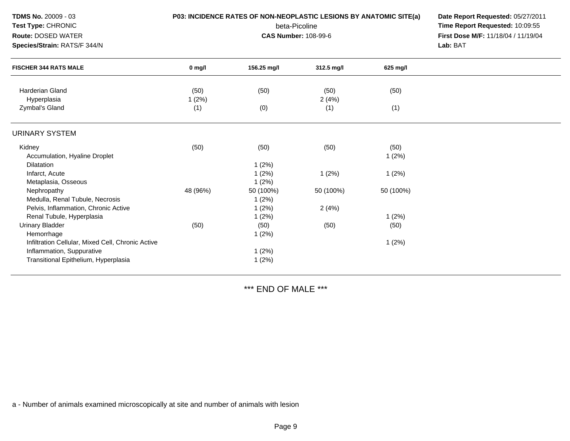| TDMS No. 20009 - 03<br>Test Type: CHRONIC<br>Route: DOSED WATER<br>Species/Strain: RATS/F 344/N                        |               | P03: INCIDENCE RATES OF NON-NEOPLASTIC LESIONS BY ANATOMIC SITE(a)<br>beta-Picoline<br><b>CAS Number: 108-99-6</b> | Date Report Requested: 05/27/2011<br>Time Report Requested: 10:09:55<br>First Dose M/F: 11/18/04 / 11/19/04<br>Lab: BAT |               |  |
|------------------------------------------------------------------------------------------------------------------------|---------------|--------------------------------------------------------------------------------------------------------------------|-------------------------------------------------------------------------------------------------------------------------|---------------|--|
| <b>FISCHER 344 RATS MALE</b>                                                                                           | $0$ mg/l      | 156.25 mg/l                                                                                                        | 312.5 mg/l                                                                                                              | 625 mg/l      |  |
| <b>Harderian Gland</b><br>Hyperplasia                                                                                  | (50)<br>1(2%) | (50)                                                                                                               | (50)<br>2(4%)                                                                                                           | (50)          |  |
| Zymbal's Gland                                                                                                         | (1)           | (0)                                                                                                                | (1)                                                                                                                     | (1)           |  |
| <b>URINARY SYSTEM</b>                                                                                                  |               |                                                                                                                    |                                                                                                                         |               |  |
| Kidney<br>Accumulation, Hyaline Droplet<br><b>Dilatation</b>                                                           | (50)          | (50)<br>1(2%)                                                                                                      | (50)                                                                                                                    | (50)<br>1(2%) |  |
| Infarct, Acute<br>Metaplasia, Osseous                                                                                  |               | 1(2%)<br>1(2%)                                                                                                     | 1(2%)                                                                                                                   | 1(2%)         |  |
| Nephropathy<br>Medulla, Renal Tubule, Necrosis                                                                         | 48 (96%)      | 50 (100%)<br>1(2%)                                                                                                 | 50 (100%)                                                                                                               | 50 (100%)     |  |
| Pelvis, Inflammation, Chronic Active<br>Renal Tubule, Hyperplasia                                                      |               | 1(2%)<br>1(2%)                                                                                                     | 2(4%)                                                                                                                   | 1(2%)         |  |
| <b>Urinary Bladder</b><br>Hemorrhage                                                                                   | (50)          | (50)<br>1(2%)                                                                                                      | (50)                                                                                                                    | (50)          |  |
| Infiltration Cellular, Mixed Cell, Chronic Active<br>Inflammation, Suppurative<br>Transitional Epithelium, Hyperplasia |               | 1(2%)<br>1(2%)                                                                                                     |                                                                                                                         | 1(2%)         |  |

\*\*\* END OF MALE \*\*\*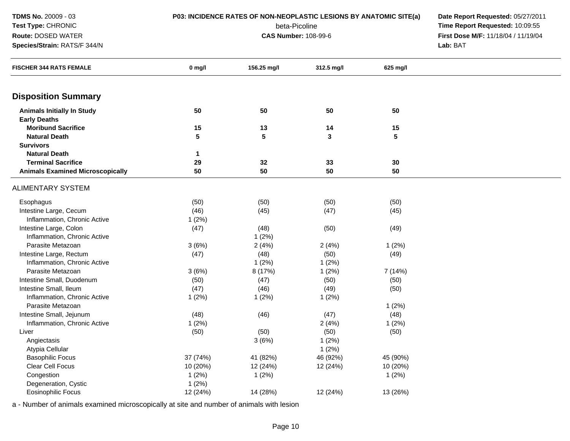| TDMS No. 20009 - 03                      | P03: INCIDENCE RATES OF NON-NEOPLASTIC LESIONS BY ANATOMIC SITE(a) |                                     |                             |          | Date Report Requested: 05/27/2011 |
|------------------------------------------|--------------------------------------------------------------------|-------------------------------------|-----------------------------|----------|-----------------------------------|
| <b>Test Type: CHRONIC</b>                |                                                                    | Time Report Requested: 10:09:55     |                             |          |                                   |
| Route: DOSED WATER                       |                                                                    | First Dose M/F: 11/18/04 / 11/19/04 |                             |          |                                   |
| Species/Strain: RATS/F 344/N             |                                                                    |                                     | <b>CAS Number: 108-99-6</b> |          | Lab: BAT                          |
| <b>FISCHER 344 RATS FEMALE</b>           | 0 mg/l                                                             | 156.25 mg/l                         | 312.5 mg/l                  | 625 mg/l |                                   |
| <b>Disposition Summary</b>               |                                                                    |                                     |                             |          |                                   |
| <b>Animals Initially In Study</b>        | 50                                                                 | 50                                  | 50                          | 50       |                                   |
| <b>Early Deaths</b>                      |                                                                    |                                     |                             |          |                                   |
| <b>Moribund Sacrifice</b>                | 15                                                                 | 13                                  | 14                          | 15       |                                   |
| <b>Natural Death</b>                     | 5                                                                  | 5                                   | 3                           | 5        |                                   |
| <b>Survivors</b><br><b>Natural Death</b> |                                                                    |                                     |                             |          |                                   |
| <b>Terminal Sacrifice</b>                | 1<br>29                                                            | 32                                  | 33                          | 30       |                                   |
| <b>Animals Examined Microscopically</b>  | 50                                                                 | 50                                  | 50                          | 50       |                                   |
|                                          |                                                                    |                                     |                             |          |                                   |
| <b>ALIMENTARY SYSTEM</b>                 |                                                                    |                                     |                             |          |                                   |
| Esophagus                                | (50)                                                               | (50)                                | (50)                        | (50)     |                                   |
| Intestine Large, Cecum                   | (46)                                                               | (45)                                | (47)                        | (45)     |                                   |
| Inflammation, Chronic Active             | 1(2%)                                                              |                                     |                             |          |                                   |
| Intestine Large, Colon                   | (47)                                                               | (48)                                | (50)                        | (49)     |                                   |
| Inflammation, Chronic Active             |                                                                    | 1(2%)                               |                             |          |                                   |
| Parasite Metazoan                        | 3(6%)                                                              | 2(4%)                               | 2(4%)                       | 1(2%)    |                                   |
| Intestine Large, Rectum                  | (47)                                                               | (48)                                | (50)                        | (49)     |                                   |
| Inflammation, Chronic Active             |                                                                    | 1(2%)                               | 1(2%)                       |          |                                   |
| Parasite Metazoan                        | 3(6%)                                                              | 8 (17%)                             | 1(2%)                       | 7 (14%)  |                                   |
| Intestine Small, Duodenum                | (50)                                                               | (47)                                | (50)                        | (50)     |                                   |
| Intestine Small, Ileum                   | (47)                                                               | (46)                                | (49)                        | (50)     |                                   |
| Inflammation, Chronic Active             | 1(2%)                                                              | 1(2%)                               | 1(2%)                       |          |                                   |
| Parasite Metazoan                        |                                                                    |                                     |                             | 1(2%)    |                                   |
| Intestine Small, Jejunum                 | (48)                                                               | (46)                                | (47)                        | (48)     |                                   |
| Inflammation, Chronic Active             | 1(2%)                                                              |                                     | 2(4%)                       | 1(2%)    |                                   |
| Liver                                    | (50)                                                               | (50)                                | (50)                        | (50)     |                                   |
| Angiectasis                              |                                                                    | 3(6%)                               | 1(2%)                       |          |                                   |
| Atypia Cellular                          |                                                                    |                                     | 1(2%)                       |          |                                   |
| <b>Basophilic Focus</b>                  | 37 (74%)                                                           | 41 (82%)                            | 46 (92%)                    | 45 (90%) |                                   |
| Clear Cell Focus                         | 10 (20%)                                                           | 12 (24%)                            | 12 (24%)                    | 10 (20%) |                                   |
| Congestion                               | 1(2%)                                                              | 1(2%)                               |                             | 1(2%)    |                                   |
| Degeneration, Cystic                     | 1(2%)                                                              |                                     |                             |          |                                   |
| <b>Eosinophilic Focus</b>                | 12 (24%)                                                           | 14 (28%)                            | 12 (24%)                    | 13 (26%) |                                   |
|                                          |                                                                    |                                     |                             |          |                                   |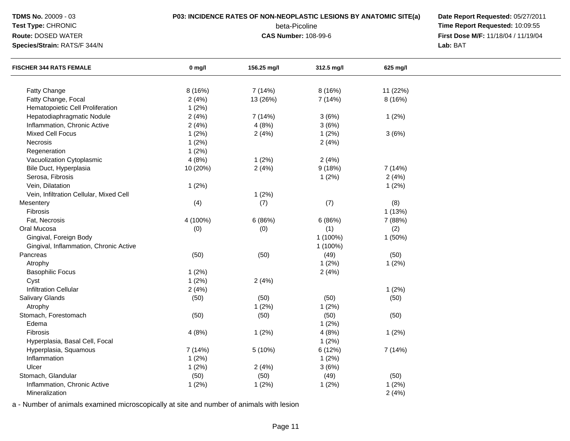| TDMS No. 20009 - 03                     |          | P03: INCIDENCE RATES OF NON-NEOPLASTIC LESIONS BY ANATOMIC SITE(a) |                             |          | Date Report Requested: 05/27/2011 |
|-----------------------------------------|----------|--------------------------------------------------------------------|-----------------------------|----------|-----------------------------------|
| Test Type: CHRONIC                      |          | Time Report Requested: 10:09:55                                    |                             |          |                                   |
| Route: DOSED WATER                      |          | First Dose M/F: 11/18/04 / 11/19/04                                |                             |          |                                   |
| Species/Strain: RATS/F 344/N            |          |                                                                    | <b>CAS Number: 108-99-6</b> |          | Lab: BAT                          |
| <b>FISCHER 344 RATS FEMALE</b>          | $0$ mg/l | 156.25 mg/l                                                        | 312.5 mg/l                  | 625 mg/l |                                   |
| Fatty Change                            | 8 (16%)  | 7 (14%)                                                            | 8 (16%)                     | 11 (22%) |                                   |
| Fatty Change, Focal                     | 2(4%)    | 13 (26%)                                                           | 7 (14%)                     | 8 (16%)  |                                   |
| Hematopoietic Cell Proliferation        | 1(2%)    |                                                                    |                             |          |                                   |
| Hepatodiaphragmatic Nodule              | 2(4%)    | 7 (14%)                                                            | 3(6%)                       | 1(2%)    |                                   |
| Inflammation, Chronic Active            | 2(4%)    | 4(8%)                                                              | 3(6%)                       |          |                                   |
| <b>Mixed Cell Focus</b>                 | 1(2%)    | 2(4%)                                                              | 1(2%)                       | 3(6%)    |                                   |
| Necrosis                                | 1(2%)    |                                                                    | 2(4%)                       |          |                                   |
| Regeneration                            | 1(2%)    |                                                                    |                             |          |                                   |
| Vacuolization Cytoplasmic               | 4(8%)    | 1(2%)                                                              | 2(4%)                       |          |                                   |
| Bile Duct, Hyperplasia                  | 10 (20%) | 2(4%)                                                              | 9(18%)                      | 7 (14%)  |                                   |
| Serosa, Fibrosis                        |          |                                                                    | 1(2%)                       | 2(4%)    |                                   |
| Vein, Dilatation                        | 1(2%)    |                                                                    |                             | 1(2%)    |                                   |
| Vein, Infiltration Cellular, Mixed Cell |          | 1(2%)                                                              |                             |          |                                   |
| Mesentery                               | (4)      | (7)                                                                | (7)                         | (8)      |                                   |
| Fibrosis                                |          |                                                                    |                             | 1(13%)   |                                   |
| Fat, Necrosis                           | 4 (100%) | 6(86%)                                                             | 6(86%)                      | 7 (88%)  |                                   |
| Oral Mucosa                             | (0)      | (0)                                                                | (1)                         | (2)      |                                   |
| Gingival, Foreign Body                  |          |                                                                    | 1 (100%)                    | 1(50%)   |                                   |
| Gingival, Inflammation, Chronic Active  |          |                                                                    | 1 (100%)                    |          |                                   |
| Pancreas                                | (50)     | (50)                                                               | (49)                        | (50)     |                                   |
| Atrophy                                 |          |                                                                    | 1(2%)                       | 1(2%)    |                                   |
| <b>Basophilic Focus</b>                 | 1(2%)    |                                                                    | 2(4%)                       |          |                                   |
| Cyst                                    | 1(2%)    | 2(4%)                                                              |                             |          |                                   |
| <b>Infiltration Cellular</b>            | 2(4%)    |                                                                    |                             | 1(2%)    |                                   |
| Salivary Glands                         | (50)     | (50)                                                               | (50)                        | (50)     |                                   |
| Atrophy                                 |          | 1(2%)                                                              | 1(2%)                       |          |                                   |
| Stomach, Forestomach                    | (50)     | (50)                                                               | (50)                        | (50)     |                                   |
| Edema                                   |          |                                                                    | 1(2%)                       |          |                                   |
| Fibrosis                                | 4(8%)    | 1(2%)                                                              | 4(8%)                       | 1(2%)    |                                   |
| Hyperplasia, Basal Cell, Focal          |          |                                                                    | 1(2%)                       |          |                                   |
| Hyperplasia, Squamous                   | 7 (14%)  | 5(10%)                                                             | 6 (12%)                     | 7(14%)   |                                   |
| Inflammation                            | 1(2%)    |                                                                    | 1(2%)                       |          |                                   |
| Ulcer                                   | 1(2%)    | 2(4%)                                                              | 3(6%)                       |          |                                   |
| Stomach, Glandular                      | (50)     | (50)                                                               | (49)                        | (50)     |                                   |
| Inflammation, Chronic Active            | 1(2%)    | 1(2%)                                                              | 1(2%)                       | 1(2%)    |                                   |
| Mineralization                          |          |                                                                    |                             | 2(4%)    |                                   |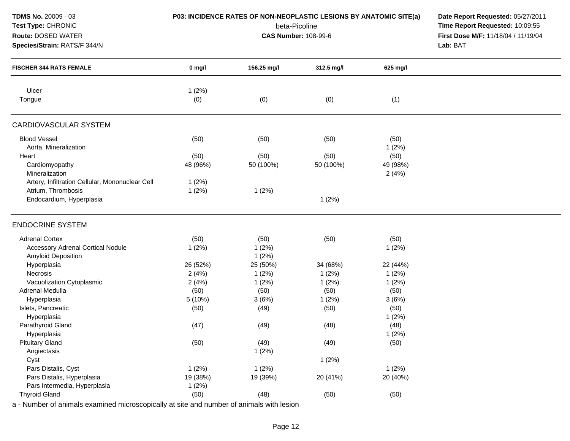| TDMS No. 20009 - 03<br>Test Type: CHRONIC<br>Route: DOSED WATER<br>Species/Strain: RATS/F 344/N                  |                            | P03: INCIDENCE RATES OF NON-NEOPLASTIC LESIONS BY ANATOMIC SITE(a)<br>beta-Picoline<br><b>CAS Number: 108-99-6</b> | Date Report Requested: 05/27/2011<br>Time Report Requested: 10:09:55<br>First Dose M/F: 11/18/04 / 11/19/04<br>Lab: BAT |                        |  |
|------------------------------------------------------------------------------------------------------------------|----------------------------|--------------------------------------------------------------------------------------------------------------------|-------------------------------------------------------------------------------------------------------------------------|------------------------|--|
| <b>FISCHER 344 RATS FEMALE</b>                                                                                   | $0$ mg/l                   | 156.25 mg/l                                                                                                        | 312.5 mg/l                                                                                                              | 625 mg/l               |  |
| Ulcer<br>Tongue                                                                                                  | 1(2%)<br>(0)               | (0)                                                                                                                | (0)                                                                                                                     | (1)                    |  |
| <b>CARDIOVASCULAR SYSTEM</b>                                                                                     |                            |                                                                                                                    |                                                                                                                         |                        |  |
| <b>Blood Vessel</b><br>Aorta, Mineralization<br>Heart                                                            | (50)<br>(50)               | (50)<br>(50)                                                                                                       | (50)<br>(50)                                                                                                            | (50)<br>1(2%)<br>(50)  |  |
| Cardiomyopathy<br>Mineralization                                                                                 | 48 (96%)                   | 50 (100%)                                                                                                          | 50 (100%)                                                                                                               | 49 (98%)<br>2(4%)      |  |
| Artery, Infiltration Cellular, Mononuclear Cell<br>Atrium, Thrombosis<br>Endocardium, Hyperplasia                | 1(2%)<br>1(2%)             | 1(2%)                                                                                                              | 1(2%)                                                                                                                   |                        |  |
| <b>ENDOCRINE SYSTEM</b>                                                                                          |                            |                                                                                                                    |                                                                                                                         |                        |  |
| <b>Adrenal Cortex</b><br><b>Accessory Adrenal Cortical Nodule</b><br><b>Amyloid Deposition</b>                   | (50)<br>1(2%)              | (50)<br>1(2%)<br>1(2%)                                                                                             | (50)                                                                                                                    | (50)<br>1(2%)          |  |
| Hyperplasia<br>Necrosis                                                                                          | 26 (52%)<br>2(4%)          | 25 (50%)<br>1(2%)                                                                                                  | 34 (68%)<br>1(2%)                                                                                                       | 22 (44%)<br>1(2%)      |  |
| Vacuolization Cytoplasmic<br>Adrenal Medulla<br>Hyperplasia                                                      | 2(4%)<br>(50)<br>5 (10%)   | 1(2%)<br>(50)<br>3(6%)                                                                                             | 1(2%)<br>(50)<br>1(2%)                                                                                                  | 1(2%)<br>(50)<br>3(6%) |  |
| Islets, Pancreatic<br>Hyperplasia                                                                                | (50)                       | (49)                                                                                                               | (50)                                                                                                                    | (50)<br>1(2%)          |  |
| Parathyroid Gland<br>Hyperplasia                                                                                 | (47)                       | (49)                                                                                                               | (48)                                                                                                                    | (48)<br>1(2%)          |  |
| <b>Pituitary Gland</b><br>Angiectasis<br>Cyst                                                                    | (50)                       | (49)<br>1(2%)                                                                                                      | (49)<br>1(2%)                                                                                                           | (50)                   |  |
| Pars Distalis, Cyst<br>Pars Distalis, Hyperplasia<br>Pars Intermedia, Hyperplasia                                | 1(2%)<br>19 (38%)<br>1(2%) | 1(2%)<br>19 (39%)                                                                                                  | 20 (41%)                                                                                                                | 1(2%)<br>20 (40%)      |  |
| <b>Thyroid Gland</b><br>a - Number of animals examined microscopically at site and number of animals with lesion | (50)                       | (48)                                                                                                               | (50)                                                                                                                    | (50)                   |  |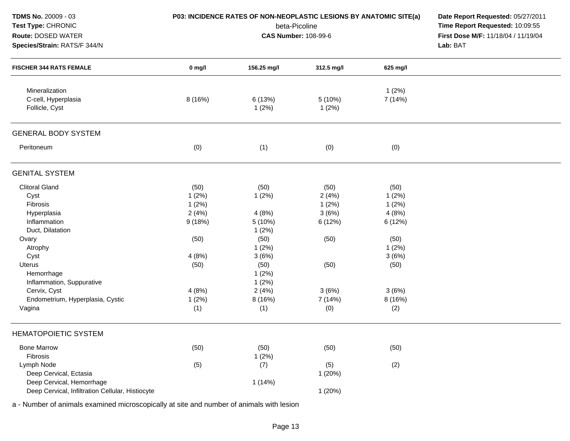| <b>TDMS No. 20009 - 03</b><br>Test Type: CHRONIC<br>Route: DOSED WATER<br>Species/Strain: RATS/F 344/N |          | P03: INCIDENCE RATES OF NON-NEOPLASTIC LESIONS BY ANATOMIC SITE(a)<br>beta-Picoline<br><b>CAS Number: 108-99-6</b> | Date Report Requested: 05/27/2011<br>Time Report Requested: 10:09:55<br>First Dose M/F: 11/18/04 / 11/19/04<br>Lab: BAT |                 |  |
|--------------------------------------------------------------------------------------------------------|----------|--------------------------------------------------------------------------------------------------------------------|-------------------------------------------------------------------------------------------------------------------------|-----------------|--|
| <b>FISCHER 344 RATS FEMALE</b>                                                                         | $0$ mg/l | 156.25 mg/l                                                                                                        | 312.5 mg/l                                                                                                              | 625 mg/l        |  |
| Mineralization<br>C-cell, Hyperplasia<br>Follicle, Cyst                                                | 8 (16%)  | 6 (13%)<br>1(2%)                                                                                                   | 5 (10%)<br>1(2%)                                                                                                        | 1(2%)<br>7(14%) |  |
| <b>GENERAL BODY SYSTEM</b>                                                                             |          |                                                                                                                    |                                                                                                                         |                 |  |
| Peritoneum                                                                                             | (0)      | (1)                                                                                                                | (0)                                                                                                                     | (0)             |  |
| <b>GENITAL SYSTEM</b>                                                                                  |          |                                                                                                                    |                                                                                                                         |                 |  |
| <b>Clitoral Gland</b>                                                                                  | (50)     | (50)                                                                                                               | (50)                                                                                                                    | (50)            |  |
| Cyst                                                                                                   | 1(2%)    | 1(2%)                                                                                                              | 2(4%)                                                                                                                   | 1(2%)           |  |
| Fibrosis                                                                                               | 1(2%)    |                                                                                                                    | 1(2%)                                                                                                                   | 1(2%)           |  |
| Hyperplasia                                                                                            | 2(4%)    | 4(8%)                                                                                                              | 3(6%)                                                                                                                   | 4(8%)           |  |
| Inflammation                                                                                           | 9(18%)   | 5 (10%)                                                                                                            | 6 (12%)                                                                                                                 | 6 (12%)         |  |
| Duct, Dilatation                                                                                       |          | 1(2%)                                                                                                              |                                                                                                                         |                 |  |
| Ovary                                                                                                  | (50)     | (50)                                                                                                               | (50)                                                                                                                    | (50)            |  |
| Atrophy                                                                                                |          | 1(2%)                                                                                                              |                                                                                                                         | 1(2%)           |  |
| Cyst                                                                                                   | 4(8%)    | 3(6%)                                                                                                              |                                                                                                                         | 3(6%)           |  |
| Uterus                                                                                                 | (50)     | (50)                                                                                                               | (50)                                                                                                                    | (50)            |  |
| Hemorrhage                                                                                             |          | 1(2%)                                                                                                              |                                                                                                                         |                 |  |
| Inflammation, Suppurative                                                                              |          | 1(2%)                                                                                                              |                                                                                                                         |                 |  |
| Cervix, Cyst                                                                                           | 4(8%)    | 2(4%)                                                                                                              | 3(6%)                                                                                                                   | 3(6%)           |  |
| Endometrium, Hyperplasia, Cystic                                                                       | 1(2%)    | 8 (16%)                                                                                                            | 7 (14%)                                                                                                                 | 8 (16%)         |  |
| Vagina                                                                                                 | (1)      | (1)                                                                                                                | (0)                                                                                                                     | (2)             |  |
| HEMATOPOIETIC SYSTEM                                                                                   |          |                                                                                                                    |                                                                                                                         |                 |  |
| <b>Bone Marrow</b><br>Fibrosis                                                                         | (50)     | (50)                                                                                                               | (50)                                                                                                                    | (50)            |  |
| Lymph Node                                                                                             |          | 1(2%)                                                                                                              |                                                                                                                         |                 |  |
| Deep Cervical, Ectasia                                                                                 | (5)      | (7)                                                                                                                | (5)<br>1(20%)                                                                                                           | (2)             |  |
| Deep Cervical, Hemorrhage                                                                              |          | 1(14%)                                                                                                             |                                                                                                                         |                 |  |
| Deep Cervical, Infiltration Cellular, Histiocyte                                                       |          |                                                                                                                    | 1(20%)                                                                                                                  |                 |  |
|                                                                                                        |          |                                                                                                                    |                                                                                                                         |                 |  |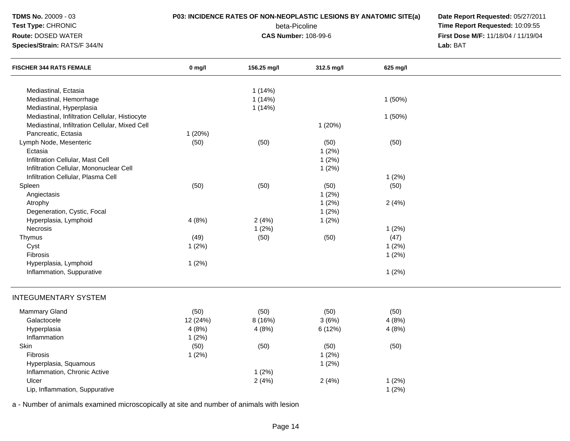| <b>TDMS No. 20009 - 03</b><br>Test Type: CHRONIC<br>Route: DOSED WATER<br>Species/Strain: RATS/F 344/N |          | P03: INCIDENCE RATES OF NON-NEOPLASTIC LESIONS BY ANATOMIC SITE(a)<br>beta-Picoline<br><b>CAS Number: 108-99-6</b> | Date Report Requested: 05/27/2011<br>Time Report Requested: 10:09:55<br>First Dose M/F: 11/18/04 / 11/19/04<br>Lab: BAT |          |  |
|--------------------------------------------------------------------------------------------------------|----------|--------------------------------------------------------------------------------------------------------------------|-------------------------------------------------------------------------------------------------------------------------|----------|--|
| <b>FISCHER 344 RATS FEMALE</b>                                                                         | $0$ mg/l | 156.25 mg/l                                                                                                        | 312.5 mg/l                                                                                                              | 625 mg/l |  |
| Mediastinal, Ectasia                                                                                   |          | 1(14%)                                                                                                             |                                                                                                                         |          |  |
| Mediastinal, Hemorrhage                                                                                |          | 1(14%)                                                                                                             |                                                                                                                         | 1(50%)   |  |
| Mediastinal, Hyperplasia                                                                               |          | 1(14%)                                                                                                             |                                                                                                                         |          |  |
| Mediastinal, Infiltration Cellular, Histiocyte                                                         |          |                                                                                                                    |                                                                                                                         | 1(50%)   |  |
| Mediastinal, Infiltration Cellular, Mixed Cell                                                         |          |                                                                                                                    | 1(20%)                                                                                                                  |          |  |
| Pancreatic, Ectasia                                                                                    | 1(20%)   |                                                                                                                    |                                                                                                                         |          |  |
| Lymph Node, Mesenteric                                                                                 | (50)     | (50)                                                                                                               | (50)                                                                                                                    | (50)     |  |
| Ectasia                                                                                                |          |                                                                                                                    | 1(2%)                                                                                                                   |          |  |
| Infiltration Cellular, Mast Cell                                                                       |          |                                                                                                                    | 1(2%)                                                                                                                   |          |  |
| Infiltration Cellular, Mononuclear Cell                                                                |          |                                                                                                                    | 1(2%)                                                                                                                   |          |  |
| Infiltration Cellular, Plasma Cell                                                                     |          |                                                                                                                    |                                                                                                                         | 1(2%)    |  |
| Spleen                                                                                                 | (50)     | (50)                                                                                                               | (50)                                                                                                                    | (50)     |  |
| Angiectasis                                                                                            |          |                                                                                                                    | 1(2%)                                                                                                                   |          |  |
| Atrophy                                                                                                |          |                                                                                                                    | 1(2%)                                                                                                                   | 2(4%)    |  |
| Degeneration, Cystic, Focal                                                                            |          |                                                                                                                    | 1(2%)                                                                                                                   |          |  |
| Hyperplasia, Lymphoid                                                                                  | 4(8%)    | 2(4%)                                                                                                              | 1(2%)                                                                                                                   |          |  |
| Necrosis                                                                                               |          | 1(2%)                                                                                                              |                                                                                                                         | 1(2%)    |  |
| Thymus                                                                                                 | (49)     | (50)                                                                                                               | (50)                                                                                                                    | (47)     |  |
| Cyst                                                                                                   | 1(2%)    |                                                                                                                    |                                                                                                                         | 1(2%)    |  |
| Fibrosis                                                                                               |          |                                                                                                                    |                                                                                                                         | 1(2%)    |  |
| Hyperplasia, Lymphoid                                                                                  | 1(2%)    |                                                                                                                    |                                                                                                                         |          |  |
| Inflammation, Suppurative                                                                              |          |                                                                                                                    |                                                                                                                         | 1(2%)    |  |
| <b>INTEGUMENTARY SYSTEM</b>                                                                            |          |                                                                                                                    |                                                                                                                         |          |  |
| Mammary Gland                                                                                          | (50)     | (50)                                                                                                               | (50)                                                                                                                    | (50)     |  |
| Galactocele                                                                                            | 12 (24%) | 8(16%)                                                                                                             | 3(6%)                                                                                                                   | 4(8%)    |  |
| Hyperplasia                                                                                            | 4(8%)    | 4(8%)                                                                                                              | 6(12%)                                                                                                                  | 4(8%)    |  |
| Inflammation                                                                                           | 1(2%)    |                                                                                                                    |                                                                                                                         |          |  |
| Skin                                                                                                   | (50)     | (50)                                                                                                               | (50)                                                                                                                    | (50)     |  |
| Fibrosis                                                                                               | 1(2%)    |                                                                                                                    | 1(2%)                                                                                                                   |          |  |
| Hyperplasia, Squamous                                                                                  |          |                                                                                                                    | 1(2%)                                                                                                                   |          |  |
| Inflammation, Chronic Active                                                                           |          | 1(2%)                                                                                                              |                                                                                                                         |          |  |
| Ulcer                                                                                                  |          | 2(4%)                                                                                                              | 2(4%)                                                                                                                   | 1(2%)    |  |
| Lip, Inflammation, Suppurative                                                                         |          |                                                                                                                    |                                                                                                                         | 1(2%)    |  |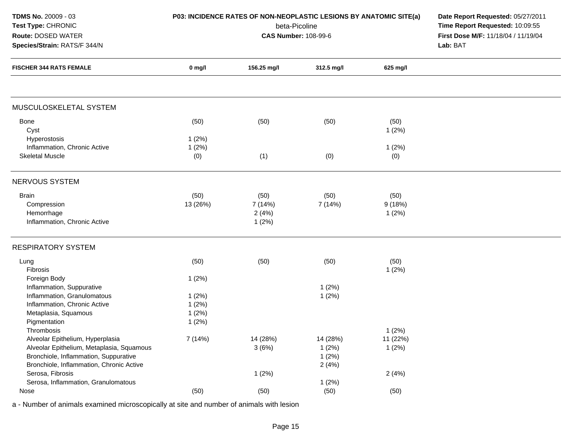| TDMS No. 20009 - 03<br>Test Type: CHRONIC                                                                                                                                        |                  | P03: INCIDENCE RATES OF NON-NEOPLASTIC LESIONS BY ANATOMIC SITE(a)<br>beta-Picoline | Date Report Requested: 05/27/2011<br>Time Report Requested: 10:09:55<br>First Dose M/F: 11/18/04 / 11/19/04<br>Lab: BAT |                            |  |
|----------------------------------------------------------------------------------------------------------------------------------------------------------------------------------|------------------|-------------------------------------------------------------------------------------|-------------------------------------------------------------------------------------------------------------------------|----------------------------|--|
| Route: DOSED WATER<br>Species/Strain: RATS/F 344/N<br><b>FISCHER 344 RATS FEMALE</b>                                                                                             |                  | <b>CAS Number: 108-99-6</b>                                                         |                                                                                                                         |                            |  |
|                                                                                                                                                                                  | $0$ mg/l         | 156.25 mg/l                                                                         | 312.5 mg/l                                                                                                              | 625 mg/l                   |  |
| MUSCULOSKELETAL SYSTEM                                                                                                                                                           |                  |                                                                                     |                                                                                                                         |                            |  |
| Bone<br>Cyst<br>Hyperostosis                                                                                                                                                     | (50)<br>1(2%)    | (50)                                                                                | (50)                                                                                                                    | (50)<br>1(2%)              |  |
| Inflammation, Chronic Active<br><b>Skeletal Muscle</b>                                                                                                                           | 1(2%)<br>(0)     | (1)                                                                                 | (0)                                                                                                                     | 1(2%)<br>(0)               |  |
| NERVOUS SYSTEM                                                                                                                                                                   |                  |                                                                                     |                                                                                                                         |                            |  |
| <b>Brain</b><br>Compression<br>Hemorrhage<br>Inflammation, Chronic Active                                                                                                        | (50)<br>13 (26%) | (50)<br>7 (14%)<br>2(4%)<br>1(2%)                                                   | (50)<br>7(14%)                                                                                                          | (50)<br>9(18%)<br>1(2%)    |  |
| <b>RESPIRATORY SYSTEM</b>                                                                                                                                                        |                  |                                                                                     |                                                                                                                         |                            |  |
| Lung<br>Fibrosis<br>Foreign Body                                                                                                                                                 | (50)<br>1(2%)    | (50)                                                                                | (50)                                                                                                                    | (50)<br>1(2%)              |  |
| Inflammation, Suppurative                                                                                                                                                        |                  |                                                                                     | 1(2%)                                                                                                                   |                            |  |
| Inflammation, Granulomatous                                                                                                                                                      | 1(2%)            |                                                                                     | 1(2%)                                                                                                                   |                            |  |
| Inflammation, Chronic Active                                                                                                                                                     | 1(2%)            |                                                                                     |                                                                                                                         |                            |  |
| Metaplasia, Squamous                                                                                                                                                             | 1(2%)            |                                                                                     |                                                                                                                         |                            |  |
| Pigmentation                                                                                                                                                                     | 1(2%)            |                                                                                     |                                                                                                                         |                            |  |
| Thrombosis<br>Alveolar Epithelium, Hyperplasia<br>Alveolar Epithelium, Metaplasia, Squamous<br>Bronchiole, Inflammation, Suppurative<br>Bronchiole, Inflammation, Chronic Active | 7 (14%)          | 14 (28%)<br>3(6%)                                                                   | 14 (28%)<br>1(2%)<br>1(2%)<br>2(4%)                                                                                     | 1(2%)<br>11 (22%)<br>1(2%) |  |
| Serosa, Fibrosis                                                                                                                                                                 |                  | 1(2%)                                                                               |                                                                                                                         | 2(4%)                      |  |
| Serosa, Inflammation, Granulomatous                                                                                                                                              |                  |                                                                                     | 1(2%)                                                                                                                   |                            |  |
| Nose                                                                                                                                                                             | (50)             | (50)                                                                                | (50)                                                                                                                    | (50)                       |  |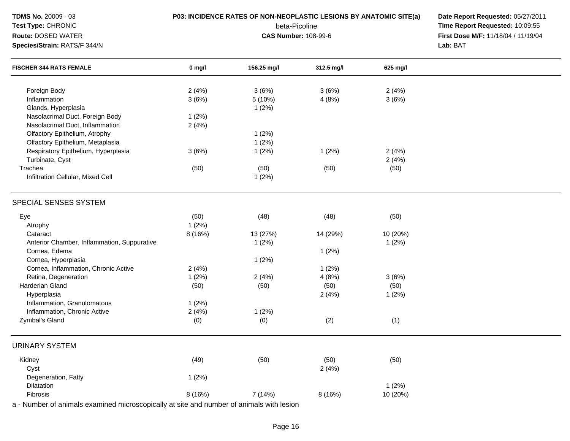| TDMS No. 20009 - 03<br>Test Type: CHRONIC<br>Route: DOSED WATER                          |          | P03: INCIDENCE RATES OF NON-NEOPLASTIC LESIONS BY ANATOMIC SITE(a)<br>beta-Picoline<br><b>CAS Number: 108-99-6</b> | Date Report Requested: 05/27/2011<br>Time Report Requested: 10:09:55<br>First Dose M/F: 11/18/04 / 11/19/04 |          |  |
|------------------------------------------------------------------------------------------|----------|--------------------------------------------------------------------------------------------------------------------|-------------------------------------------------------------------------------------------------------------|----------|--|
| Species/Strain: RATS/F 344/N<br><b>FISCHER 344 RATS FEMALE</b>                           |          |                                                                                                                    |                                                                                                             | Lab: BAT |  |
|                                                                                          | $0$ mg/l | 156.25 mg/l                                                                                                        | 312.5 mg/l                                                                                                  | 625 mg/l |  |
| Foreign Body                                                                             | 2(4%)    | 3(6%)                                                                                                              | 3(6%)                                                                                                       | 2(4%)    |  |
| Inflammation                                                                             | 3(6%)    | 5 (10%)                                                                                                            | 4(8%)                                                                                                       | 3(6%)    |  |
| Glands, Hyperplasia                                                                      |          | 1(2%)                                                                                                              |                                                                                                             |          |  |
| Nasolacrimal Duct, Foreign Body                                                          | 1(2%)    |                                                                                                                    |                                                                                                             |          |  |
| Nasolacrimal Duct, Inflammation                                                          | 2(4%)    |                                                                                                                    |                                                                                                             |          |  |
| Olfactory Epithelium, Atrophy                                                            |          | 1(2%)                                                                                                              |                                                                                                             |          |  |
| Olfactory Epithelium, Metaplasia                                                         |          | 1(2%)                                                                                                              |                                                                                                             |          |  |
| Respiratory Epithelium, Hyperplasia                                                      | 3(6%)    | 1(2%)                                                                                                              | 1(2%)                                                                                                       | 2(4%)    |  |
| Turbinate, Cyst                                                                          |          |                                                                                                                    |                                                                                                             | 2(4%)    |  |
| Trachea                                                                                  | (50)     | (50)                                                                                                               | (50)                                                                                                        | (50)     |  |
| Infiltration Cellular, Mixed Cell                                                        |          | 1(2%)                                                                                                              |                                                                                                             |          |  |
| SPECIAL SENSES SYSTEM                                                                    |          |                                                                                                                    |                                                                                                             |          |  |
| Eye                                                                                      | (50)     | (48)                                                                                                               | (48)                                                                                                        | (50)     |  |
| Atrophy                                                                                  | 1(2%)    |                                                                                                                    |                                                                                                             |          |  |
| Cataract                                                                                 | 8 (16%)  | 13 (27%)                                                                                                           | 14 (29%)                                                                                                    | 10 (20%) |  |
| Anterior Chamber, Inflammation, Suppurative                                              |          | 1(2%)                                                                                                              |                                                                                                             | 1(2%)    |  |
| Cornea, Edema                                                                            |          |                                                                                                                    | 1(2%)                                                                                                       |          |  |
| Cornea, Hyperplasia                                                                      |          | 1(2%)                                                                                                              |                                                                                                             |          |  |
| Cornea, Inflammation, Chronic Active                                                     | 2(4%)    |                                                                                                                    | 1(2%)                                                                                                       |          |  |
| Retina, Degeneration                                                                     | 1(2%)    | 2(4%)                                                                                                              | 4(8%)                                                                                                       | 3(6%)    |  |
| Harderian Gland                                                                          | (50)     | (50)                                                                                                               | (50)                                                                                                        | (50)     |  |
| Hyperplasia                                                                              |          |                                                                                                                    | 2(4%)                                                                                                       | 1(2%)    |  |
| Inflammation, Granulomatous                                                              | 1(2%)    |                                                                                                                    |                                                                                                             |          |  |
| Inflammation, Chronic Active                                                             | 2(4%)    | 1(2%)                                                                                                              |                                                                                                             |          |  |
| Zymbal's Gland                                                                           | (0)      | (0)                                                                                                                | (2)                                                                                                         | (1)      |  |
| <b>URINARY SYSTEM</b>                                                                    |          |                                                                                                                    |                                                                                                             |          |  |
| Kidney                                                                                   | (49)     | (50)                                                                                                               | (50)                                                                                                        | (50)     |  |
| Cyst                                                                                     |          |                                                                                                                    | 2(4%)                                                                                                       |          |  |
| Degeneration, Fatty                                                                      | 1(2%)    |                                                                                                                    |                                                                                                             |          |  |
| Dilatation                                                                               |          |                                                                                                                    |                                                                                                             | 1(2%)    |  |
| Fibrosis                                                                                 | 8 (16%)  | 7 (14%)                                                                                                            | 8 (16%)                                                                                                     | 10 (20%) |  |
| a - Number of animals examined microscopically at site and number of animals with lesion |          |                                                                                                                    |                                                                                                             |          |  |